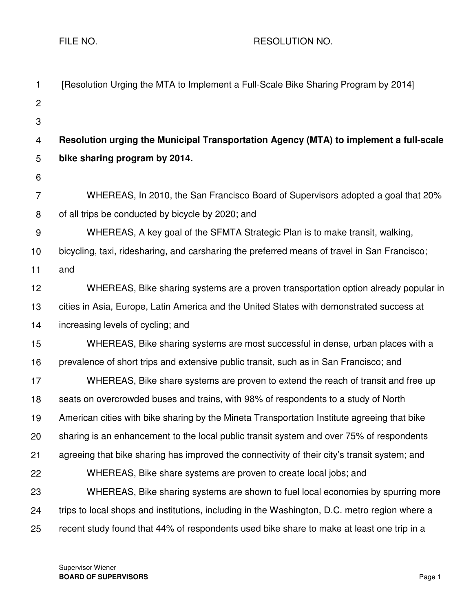FILE NO. A RESOLUTION NO.

| [Resolution Urging the MTA to Implement a Full-Scale Bike Sharing Program by 2014]            |
|-----------------------------------------------------------------------------------------------|
|                                                                                               |
|                                                                                               |
| Resolution urging the Municipal Transportation Agency (MTA) to implement a full-scale         |
| bike sharing program by 2014.                                                                 |
|                                                                                               |
| WHEREAS, In 2010, the San Francisco Board of Supervisors adopted a goal that 20%              |
| of all trips be conducted by bicycle by 2020; and                                             |
| WHEREAS, A key goal of the SFMTA Strategic Plan is to make transit, walking,                  |
| bicycling, taxi, ridesharing, and carsharing the preferred means of travel in San Francisco;  |
| and                                                                                           |
| WHEREAS, Bike sharing systems are a proven transportation option already popular in           |
| cities in Asia, Europe, Latin America and the United States with demonstrated success at      |
| increasing levels of cycling; and                                                             |
| WHEREAS, Bike sharing systems are most successful in dense, urban places with a               |
| prevalence of short trips and extensive public transit, such as in San Francisco; and         |
| WHEREAS, Bike share systems are proven to extend the reach of transit and free up             |
| seats on overcrowded buses and trains, with 98% of respondents to a study of North            |
| American cities with bike sharing by the Mineta Transportation Institute agreeing that bike   |
| sharing is an enhancement to the local public transit system and over 75% of respondents      |
| agreeing that bike sharing has improved the connectivity of their city's transit system; and  |
| WHEREAS, Bike share systems are proven to create local jobs; and                              |
| WHEREAS, Bike sharing systems are shown to fuel local economies by spurring more              |
| trips to local shops and institutions, including in the Washington, D.C. metro region where a |
| recent study found that 44% of respondents used bike share to make at least one trip in a     |
|                                                                                               |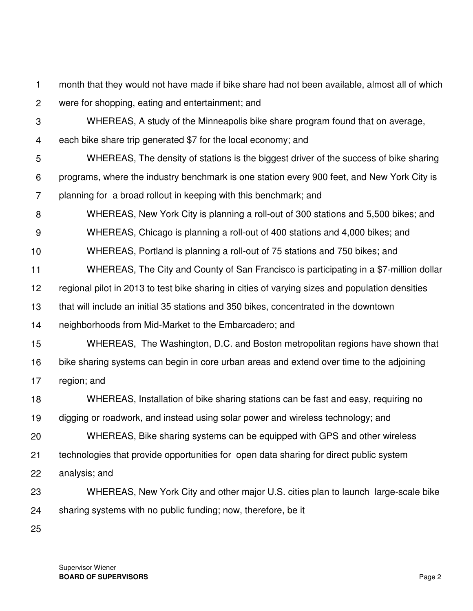1 month that they would not have made if bike share had not been available, almost all of which

- 2 were for shopping, eating and entertainment; and
- 3

WHEREAS, A study of the Minneapolis bike share program found that on average,

4 each bike share trip generated \$7 for the local economy; and

5 6 7 WHEREAS, The density of stations is the biggest driver of the success of bike sharing programs, where the industry benchmark is one station every 900 feet, and New York City is planning for a broad rollout in keeping with this benchmark; and

8 WHEREAS, New York City is planning a roll-out of 300 stations and 5,500 bikes; and

9 WHEREAS, Chicago is planning a roll-out of 400 stations and 4,000 bikes; and

10 WHEREAS, Portland is planning a roll-out of 75 stations and 750 bikes; and

11 WHEREAS, The City and County of San Francisco is participating in a \$7-million dollar

12 regional pilot in 2013 to test bike sharing in cities of varying sizes and population densities

13 that will include an initial 35 stations and 350 bikes, concentrated in the downtown

14 neighborhoods from Mid-Market to the Embarcadero; and

- 15 16 WHEREAS, The Washington, D.C. and Boston metropolitan regions have shown that bike sharing systems can begin in core urban areas and extend over time to the adjoining
- 17 region; and

18 WHEREAS, Installation of bike sharing stations can be fast and easy, requiring no

19 digging or roadwork, and instead using solar power and wireless technology; and

20 WHEREAS, Bike sharing systems can be equipped with GPS and other wireless

21 technologies that provide opportunities for open data sharing for direct public system

22 analysis; and

- 23 24 WHEREAS, New York City and other major U.S. cities plan to launch large-scale bike sharing systems with no public funding; now, therefore, be it
- 25